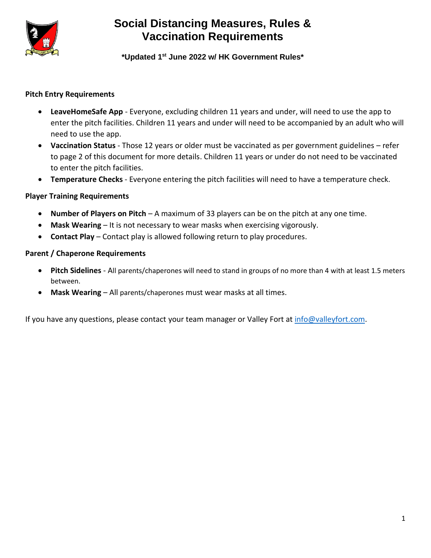

# **Social Distancing Measures, Rules & Vaccination Requirements**

**\*Updated 1 st June 2022 w/ HK Government Rules\***

### **Pitch Entry Requirements**

- **LeaveHomeSafe App** Everyone, excluding children 11 years and under, will need to use the app to enter the pitch facilities. Children 11 years and under will need to be accompanied by an adult who will need to use the app.
- **Vaccination Status** Those 12 years or older must be vaccinated as per government guidelines refer to page 2 of this document for more details. Children 11 years or under do not need to be vaccinated to enter the pitch facilities.
- **Temperature Checks**  Everyone entering the pitch facilities will need to have a temperature check.

#### **Player Training Requirements**

- **Number of Players on Pitch** A maximum of 33 players can be on the pitch at any one time.
- **Mask Wearing** It is not necessary to wear masks when exercising vigorously.
- **Contact Play** Contact play is allowed following return to play procedures.

#### **Parent / Chaperone Requirements**

- **Pitch Sidelines** All parents/chaperones will need to stand in groups of no more than 4 with at least 1.5 meters between.
- **Mask Wearing** All parents/chaperones must wear masks at all times.

If you have any questions, please contact your team manager or Valley Fort at [info@valleyfort.com.](mailto:info@valleyfort.com)